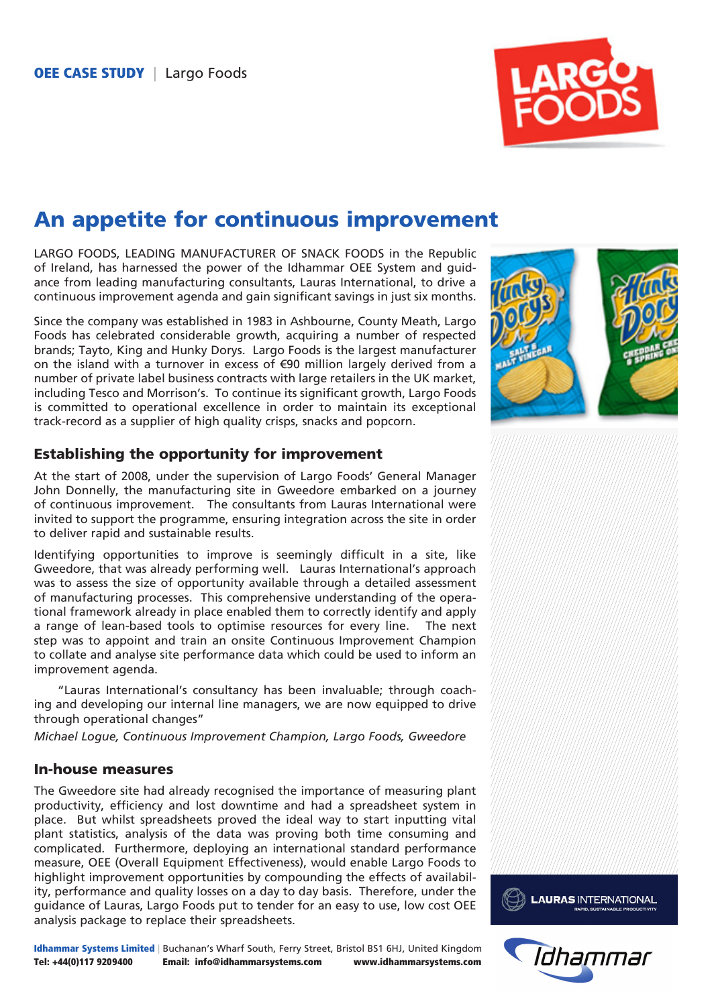

# An appetite for continuous improvement

LARGO FOODS, LEADING MANUFACTURER OF SNACK FOODS in the Republic of Ireland, has harnessed the power of the Idhammar OEE System and guidance from leading manufacturing consultants, Lauras International, to drive a continuous improvement agenda and gain significant savings in just six months.

Since the company was established in 1983 in Ashbourne, County Meath, Largo Foods has celebrated considerable growth, acquiring a number of respected brands; Tayto, King and Hunky Dorys. Largo Foods is the largest manufacturer on the island with a turnover in excess of €90 million largely derived from a number of private label business contracts with large retailers in the UK market, including Tesco and Morrison's. To continue its significant growth, Largo Foods is committed to operational excellence in order to maintain its exceptional track-record as a supplier of high quality crisps, snacks and popcorn.

## Establishing the opportunity for improvement

At the start of 2008, under the supervision of Largo Foods' General Manager John Donnelly, the manufacturing site in Gweedore embarked on a journey of continuous improvement. The consultants from Lauras International were invited to support the programme, ensuring integration across the site in order to deliver rapid and sustainable results.

Identifying opportunities to improve is seemingly difficult in a site, like Gweedore, that was already performing well. Lauras International's approach was to assess the size of opportunity available through a detailed assessment of manufacturing processes. This comprehensive understanding of the operational framework already in place enabled them to correctly identify and apply a range of lean-based tools to optimise resources for every line. The next step was to appoint and train an onsite Continuous Improvement Champion to collate and analyse site performance data which could be used to inform an improvement agenda.

"Lauras International's consultancy has been invaluable; through coaching and developing our internal line managers, we are now equipped to drive through operational changes"

*Michael Logue, Continuous Improvement Champion, Largo Foods, Gweedore*

#### In-house measures

The Gweedore site had already recognised the importance of measuring plant productivity, efficiency and lost downtime and had a spreadsheet system in place. But whilst spreadsheets proved the ideal way to start inputting vital plant statistics, analysis of the data was proving both time consuming and complicated. Furthermore, deploying an international standard performance measure, [OEE \(Overall Equipment Effectiveness\),](http://www.idhammarsystems.com/oee%20systems/oee/oee%20overview/) would enable Largo Foods to highlight improvement opportunities by compounding the effects of availability, performance and quality losses on a day to day basis. Therefore, under the guidance of Lauras, Largo Foods put to tender for an easy to use, low cost OEE analysis package to replace their spreadsheets.



Idhammar Systems Limited | Buchanan's Wharf South, Ferry Street, Bristol BS1 6HJ, United Kingdom Tel: +44(0)117 9209400 Email: info@idhammarsystems.com www.idhammarsystems.com



**LAURAS INTERNATIONAL**